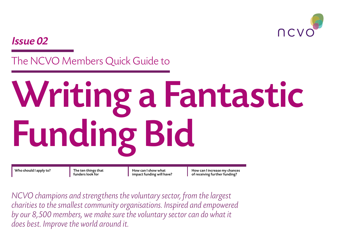

Issue 02

The NCVO Members Quick Guide to

# Writing a Fantastic Funding Bid

Who should I apply to?  $\parallel$  The ten things that

funders look for

How can I show what impact funding will have? [How can I increase my chances](#page-3-0)  [of receiving further funding?](#page-3-0)

*NCVO champions and strengthens the voluntary sector, from the largest charities to the smallest community organisations. Inspired and empowered*  by our 8,500 members, we make sure the voluntary sector can do what it *does best. Improve the world around it.*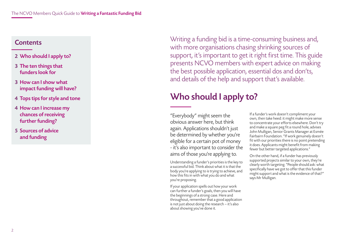# <span id="page-1-0"></span>**Contents**

- 2 Who should I apply to?
- [3 The ten things that](#page-2-0)  [funders look for](#page-2-0)
- [3 How can I show what](#page-2-0)  [impact funding will have?](#page-2-0)
- [4 Tops tips for style and tone](#page-3-0)
- [4 How can I increase my](#page-3-0)  [chances of receiving](#page-3-0)  [further funding?](#page-3-0)
- [5 Sources of advice](#page-4-0)  [and funding](#page-4-0)

Writing a funding bid is a time-consuming business and, with more organisations chasing shrinking sources of support, it's important to get it right first time. This guide presents NCVO members with expert advice on making the best possible application, essential dos and don'ts, and details of the help and support that's available.

# Who should I apply to?

"Everybody" might seem the obvious answer here, but think again. Applications shouldn't just be determined by whether you're eligible for a certain pot of money - it's also important to consider the aims of those you're applying to.

Understanding a funder's priorities is the key to a successful bid. Think about what it is that the body you're applying to is trying to achieve, and how this fits in with what you do and what you're proposing.

If your application spells out how your work can further a funder's goals, then you will have the beginnings of a strong case. Here and throughout, remember that a good application is not just about doing the research – it's also about showing you've done it.

If a funder's work doesn't compliment your own, then take heed: it might make more sense to concentrate your efforts elsewhere. Don't try and make a square peg fit a round hole, advises John Mulligan, Senior Grants Manager at Esmée Fairbairn Foundation. "If work genuinely doesn't fit with our priorities there is no point pretending it does. Applicants might benefit from making fewer but better targeted applications."

On the other hand, if a funder has previously supported projects similar to your own, they're clearly worth targeting. "People should ask: what specifically have we got to offer that this funder might support and what is the evidence of that?" says Mr Mulligan.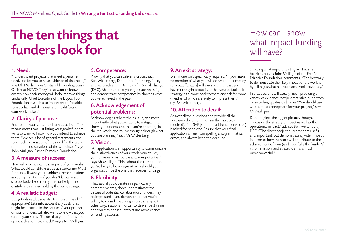# <span id="page-2-0"></span>The ten things that funders look for

# 1. Need:

"Funders want projects that meet a genuine need, and for you to have evidence of that need," says Olof Williamson, Sustainable Funding Senior Officer at NCVO. They'll also want to know exactly how their money will help improve things. Linda Kelly, Chief Executive of the Lloyds TSB Foundation says it is also important to "be able to articulate and demonstrate the difference your work makes."

# 2. Clarity of purpose:

Ensure that your aims are clearly described. This means more than just listing your goals: funders will also want to know how you intend to achieve them. "We see a lot of general statements and too much explanation of the need for the work, rather than explanations of the work itself," says John Mulligan, Esmée Fairbairn Foundation.

# 3. A measure of success:

How will you measure the impact of your work? What would constitute a positive outcome? Most funders will want you to address these questions in your application – if you don't know what success looks likes, then you're unlikely to instil confidence in those holding the purse strings.

# 4. A realistic budget:

Budgets should be realistic, transparent, and (if appropriate) take into account any costs that might be incurred in the course of your project or work. Funders will also want to know that you can do your sums. "Ensure that your figures add up - check and triple check!" urges Mr Mulligan.

## 5. Competence:

Proving that you can deliver is crucial, says Ben Wittenberg, Director of Publishing, Policy and Research at the Directory for Social Change (DSC). Make sure that your goals are realistic, and demonstrate competence by showing what you've achieved in the past.

### 6. Acknowledgement of potential problems:

"Acknowledging where the risks lie, and more importantly what you've done to mitigate them, shows you understand that you're operating in the real world and you've thought through what you are planning," says Mr Wittenberg.

# 7. Vision:

"An application is an opportunity to communicate the distinctiveness of your work, your values, your passion, your success and your potential," says Mr Mulligan. Think about the competition you're likely to be up against: why should your organisation be the one that receives funding?

# 8. Flexibility:

That said, if you operate in a particularly competitive area, don't underestimate the virtues of potential collaboration. Funders may be impressed if you demonstrate that you're willing to consider working in partnership with other organisations in order to deliver best value, and you may consequently stand more chance of funding success.

# 9. An exit strategy:

Even if one isn't specifically required. "If you make no mention of what you will do when their money runs out, [funders] will assume either that you haven't thought about it, or that your default exit strategy is to come back to them and ask for more - neither of which are likely to impress them," says Mr Wittenberg.

# 10. Attention to detail:

Answer all the questions and provide all the necessary documentation (in the multiples required). If an SAE (stamped addressed envelope) is asked for, send one. Ensure that your final application is free from spelling and grammatical errors, and always heed the deadline.

# How can I show what impact funding will have?

[Showing what impact funding will have can](www.ncvo-vol.org.uk/advice-support/funding-finance)  [be tricky but, as John Mulligan of the Esmée](www.ncvo-vol.org.uk/advice-support/funding-finance)  [Fairbairn Foundation, comments, "The best way](www.ncvo-vol.org.uk/advice-support/funding-finance)  [to demonstrate the likely impact of the work is](www.ncvo-vol.org.uk/advice-support/funding-finance)  [by telling us what has been achieved previously."](www.ncvo-vol.org.uk/advice-support/funding-finance)

In practice, this will usually mean providing a variety of evidence: not just statistics, but a story, case studies, quotes and so on. "You should use what's most appropriate for your project," says Mr Mulligan.

Don't neglect the bigger picture, though. "Focus on the strategic impact as well as the operational impact," advises Ben Wittenberg, DSC. "The direct project outcomes are useful and important, but demonstrating wider impact in terms of how the work will contribute to the achievement of your (and hopefully the funder's) vision, mission, and strategic aims is much more powerful."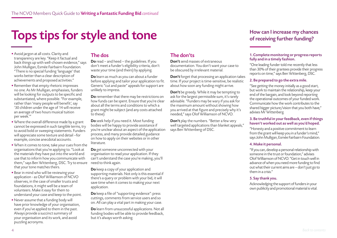# <span id="page-3-0"></span>Tops tips for style and tone

#### • Avoid jargon at all costs. Clarity and transparency are key. "Keep it factual and back things up with well-chosen evidence," says John Mulligan, Esmée Fairbairn Foundation. "There is no special funding 'language' that works better than a clear description of achievements and proposed activities."

- Remember that empty rhetoric impresses no one. As Mr Mulligan, emphasises, funders will be looking for outputs to be specific and substantiated, where possible. "For example, rather than 'many people will benefit', say '30 children under the age of 14 will receive an average of two hours musical tuition per week.'"
- Where the overall difference made by a grant cannot be expressed in such tangible terms, try to avoid bold or sweeping statements. Funders will appreciate some texture and detail –for example, concise anecdotal accounts.
- When it comes to tone, take your cues from the organisations that you're applying to. "Look at the materials they have put into the world and use that to inform how you communicate with them," says Ben Wittenberg, DSC. Try to ensure need to think again. that your tone matches theirs.
- Bear in mind who will be reviewing your application - as Olof Williamson of NCVO observes, in the case of smaller trusts and foundations, it might well be a team of volunteers. Make it easy for them to understand your case and keep to the point.
- Never assume that a funding body will have prior knowledge of your organisation, even if you've applied to them in the past. Always provide a succinct summary of your organisation and its work, and avoid puzzling acronyms.

# The dos

Do read – and heed – the guidelines. If you don't meet a funder's eligibility criteria, don't waste your time (and theirs) by applying.

Do learn as much as you can about a funder before applying and tailor your application to fit. Generic "cut and paste" appeals for support are unlikely to impress.

Do remember that there may be restrictions on how funds can be spent. Ensure that you're clear about all the terms and conditions to which a grant might be subject (and any costs attached to these).

Do seek help if you need it. Most funding bodies will be happy to provide assistance if you're unclear about an aspect of the application process, and many provide detailed guidance on how to apply on their websites or in other literature.

Do get someone unconnected with your organisation to read your application. If they can't understand the case you're making, you'll

Do keep a copy of your application and supporting materials. Not only is this essential if there's a query or problem with your bid, it will save time when it comes to making your next application.

Do keep a file of "supporting evidence": press cuttings, comments from service users and so on. All can play a vital part in making your case.

Do learn from unsuccessful applications. Not all funding bodies will be able to provide feedback, but it's always worth asking.

# The don'ts

Don't send masses of extraneous documentation. You don't want your case to be obscured by irrelevant material.

**Don't** forget that processing an application takes time. If your project is time-sensitive, be realistic about how soon any funding might arrive.

**Don't** be greedy. While it may be tempting to ask for the largest permissible sum, it's rarely advisable. "Funders may be wary if you ask for the maximum amount without showing how you arrived at that figure and precisely why it's needed," says Olof Williamson of NCVO.

**Don't** play the numbers. "Better a few very well targeted applications than blanket appeals," says Ben Wittenberg of DSC.

# How can I increase my chances of receiving further funding?

#### 1. Complete monitoring or progress reports fully and in a timely fashion.

"One leading funder told me recently that less than 30% of their grantees provide their progress reports on time," says Ben Wittenberg, DSC.

#### 2. Be prepared to go the extra mile.

"See getting the money initially as a good start, but work to maintain the relationship, keep your end of the bargain, and look beyond reporting the operational outcomes of your funded work. Communicate how the work contributes to the shared bigger picture/vision that you both have," advises Mr Wittenberg.

#### 3. Be truthful in your feedback, even if things haven't worked out as well as you'd hoped.

"Honesty and a positive commitment to learn from the grant will keep you in a funder's mind," says John Mulligan, Esmée Fairbairn Foundation.

#### 4. Make it personal.

"If you can, develop a personal relationship with someone in the trust or foundation," advises Olof Williamson of NCVO. "Get in touch well in advance of when you need more funding to find out what their current aims are – don't just go to them in a crisis."

#### 5. Say thank you.

Acknowledging the support of funders in your own publicity and promotional material is vital.